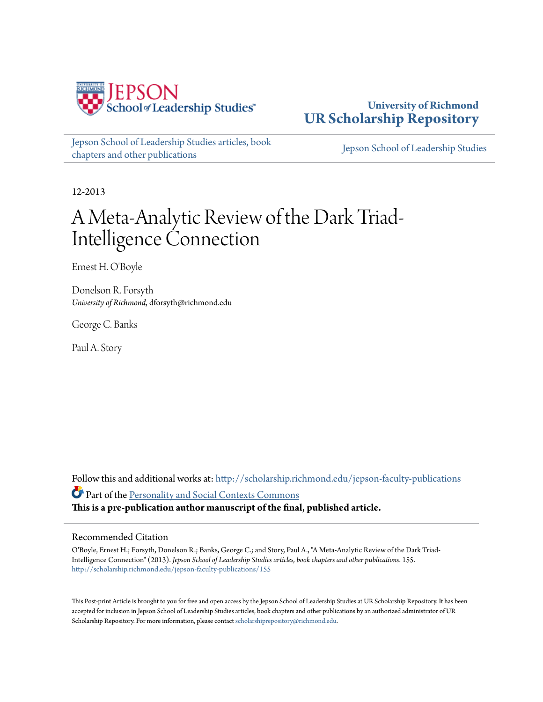

**University of Richmond [UR Scholarship Repository](http://scholarship.richmond.edu?utm_source=scholarship.richmond.edu%2Fjepson-faculty-publications%2F155&utm_medium=PDF&utm_campaign=PDFCoverPages)**

[Jepson School of Leadership Studies articles, book](http://scholarship.richmond.edu/jepson-faculty-publications?utm_source=scholarship.richmond.edu%2Fjepson-faculty-publications%2F155&utm_medium=PDF&utm_campaign=PDFCoverPages) [chapters and other publications](http://scholarship.richmond.edu/jepson-faculty-publications?utm_source=scholarship.richmond.edu%2Fjepson-faculty-publications%2F155&utm_medium=PDF&utm_campaign=PDFCoverPages)

[Jepson School of Leadership Studies](http://scholarship.richmond.edu/jepson?utm_source=scholarship.richmond.edu%2Fjepson-faculty-publications%2F155&utm_medium=PDF&utm_campaign=PDFCoverPages)

12-2013

# A Meta-Analytic Review of the Dark Triad-Intelligence Connection

Ernest H. O'Boyle

Donelson R. Forsyth *University of Richmond*, dforsyth@richmond.edu

George C. Banks

Paul A. Story

Follow this and additional works at: [http://scholarship.richmond.edu/jepson-faculty-publications](http://scholarship.richmond.edu/jepson-faculty-publications?utm_source=scholarship.richmond.edu%2Fjepson-faculty-publications%2F155&utm_medium=PDF&utm_campaign=PDFCoverPages) Part of the [Personality and Social Contexts Commons](http://network.bepress.com/hgg/discipline/413?utm_source=scholarship.richmond.edu%2Fjepson-faculty-publications%2F155&utm_medium=PDF&utm_campaign=PDFCoverPages) **This is a pre-publication author manuscript of the final, published article.**

#### Recommended Citation

O'Boyle, Ernest H.; Forsyth, Donelson R.; Banks, George C.; and Story, Paul A., "A Meta-Analytic Review of the Dark Triad-Intelligence Connection" (2013). *Jepson School of Leadership Studies articles, book chapters and other publications*. 155. [http://scholarship.richmond.edu/jepson-faculty-publications/155](http://scholarship.richmond.edu/jepson-faculty-publications/155?utm_source=scholarship.richmond.edu%2Fjepson-faculty-publications%2F155&utm_medium=PDF&utm_campaign=PDFCoverPages)

This Post-print Article is brought to you for free and open access by the Jepson School of Leadership Studies at UR Scholarship Repository. It has been accepted for inclusion in Jepson School of Leadership Studies articles, book chapters and other publications by an authorized administrator of UR Scholarship Repository. For more information, please contact [scholarshiprepository@richmond.edu.](mailto:scholarshiprepository@richmond.edu)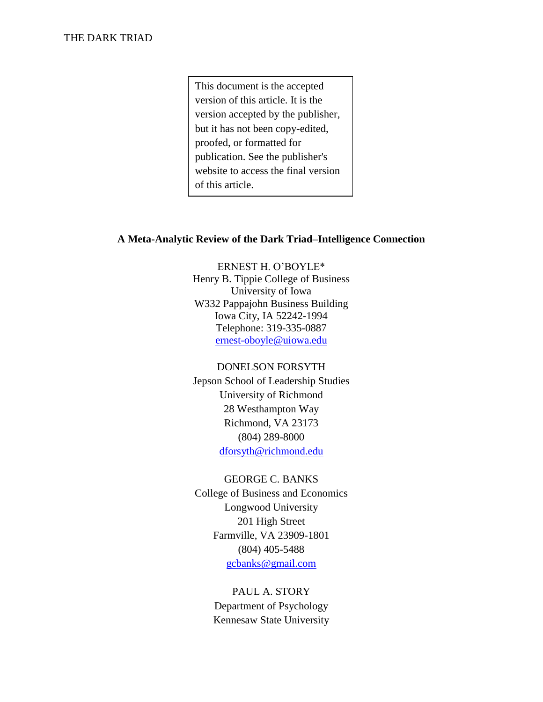This document is the accepted version of this article. It is the version accepted by the publisher, but it has not been copy-edited, proofed, or formatted for publication. See the publisher's website to access the final version of this article.

## **A Meta-Analytic Review of the Dark Triad–Intelligence Connection**

ERNEST H. O'BOYLE\* Henry B. Tippie College of Business University of Iowa W332 Pappajohn Business Building Iowa City, IA 52242-1994 Telephone: 319-335-0887 [ernest-oboyle@uiowa.edu](mailto:ernest-oboyle@uiowa.edu)

#### DONELSON FORSYTH

Jepson School of Leadership Studies University of Richmond 28 Westhampton Way Richmond, VA 23173 (804) 289-8000 [dforsyth@richmond.edu](mailto:dforsyth@richmond.edu)

#### GEORGE C. BANKS

College of Business and Economics Longwood University 201 High Street Farmville, VA 23909-1801 (804) 405-5488 [gcbanks@gmail.com](mailto:gcbanks@gmail.com)

# PAUL A. STORY

Department of Psychology Kennesaw State University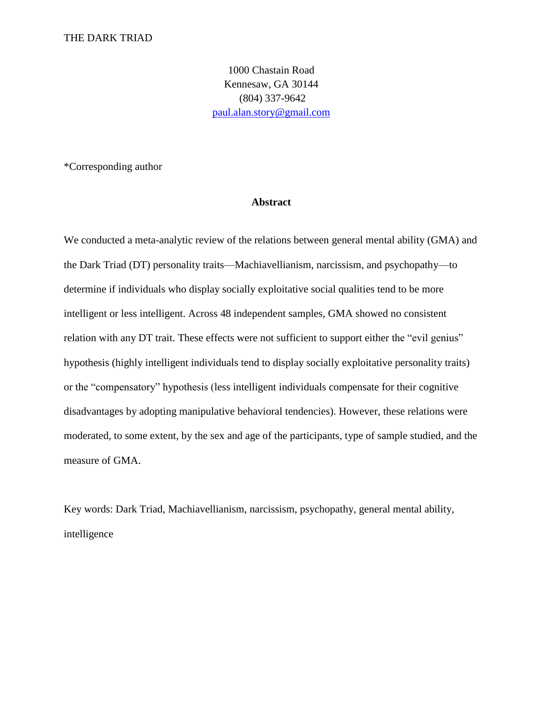1000 Chastain Road Kennesaw, GA 30144 (804) 337-9642 [paul.alan.story@gmail.com](mailto:paul.alan.story@gmail.com)

\*Corresponding author

#### **Abstract**

We conducted a meta-analytic review of the relations between general mental ability (GMA) and the Dark Triad (DT) personality traits—Machiavellianism, narcissism, and psychopathy—to determine if individuals who display socially exploitative social qualities tend to be more intelligent or less intelligent. Across 48 independent samples, GMA showed no consistent relation with any DT trait. These effects were not sufficient to support either the "evil genius" hypothesis (highly intelligent individuals tend to display socially exploitative personality traits) or the "compensatory" hypothesis (less intelligent individuals compensate for their cognitive disadvantages by adopting manipulative behavioral tendencies). However, these relations were moderated, to some extent, by the sex and age of the participants, type of sample studied, and the measure of GMA.

Key words: Dark Triad, Machiavellianism, narcissism, psychopathy, general mental ability, intelligence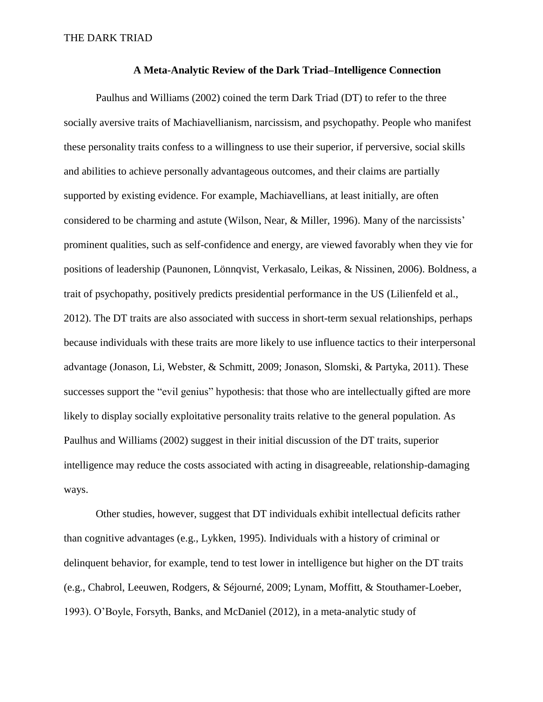#### **A Meta-Analytic Review of the Dark Triad–Intelligence Connection**

Paulhus and Williams (2002) coined the term Dark Triad (DT) to refer to the three socially aversive traits of Machiavellianism, narcissism, and psychopathy. People who manifest these personality traits confess to a willingness to use their superior, if perversive, social skills and abilities to achieve personally advantageous outcomes, and their claims are partially supported by existing evidence. For example, Machiavellians, at least initially, are often considered to be charming and astute (Wilson, Near, & Miller, 1996). Many of the narcissists' prominent qualities, such as self-confidence and energy, are viewed favorably when they vie for positions of leadership (Paunonen, Lönnqvist, Verkasalo, Leikas, & Nissinen, 2006). Boldness, a trait of psychopathy, positively predicts presidential performance in the US (Lilienfeld et al., 2012). The DT traits are also associated with success in short-term sexual relationships, perhaps because individuals with these traits are more likely to use influence tactics to their interpersonal advantage (Jonason, Li, Webster, & Schmitt, 2009; Jonason, Slomski, & Partyka, 2011). These successes support the "evil genius" hypothesis: that those who are intellectually gifted are more likely to display socially exploitative personality traits relative to the general population. As Paulhus and Williams (2002) suggest in their initial discussion of the DT traits, superior intelligence may reduce the costs associated with acting in disagreeable, relationship-damaging ways.

Other studies, however, suggest that DT individuals exhibit intellectual deficits rather than cognitive advantages (e.g., Lykken, 1995). Individuals with a history of criminal or delinquent behavior, for example, tend to test lower in intelligence but higher on the DT traits (e.g., Chabrol, Leeuwen, Rodgers, & Séjourné, 2009; Lynam, Moffitt, & Stouthamer-Loeber, 1993). O'Boyle, Forsyth, Banks, and McDaniel (2012), in a meta-analytic study of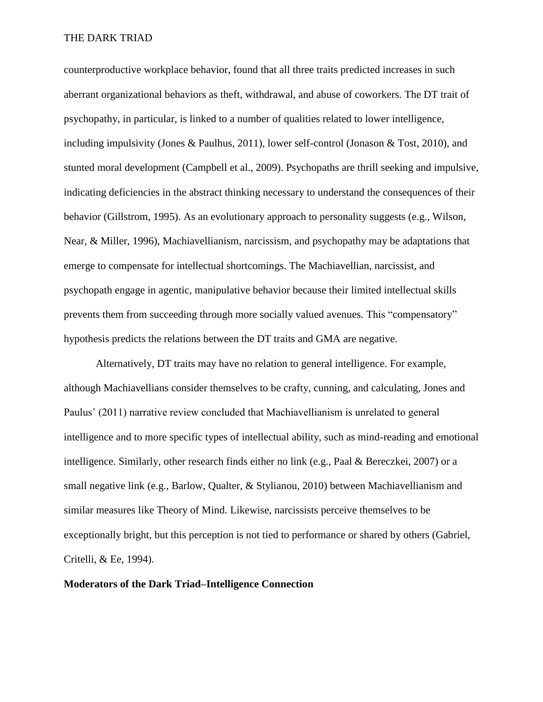counterproductive workplace behavior, found that all three traits predicted increases in such aberrant organizational behaviors as theft, withdrawal, and abuse of coworkers. The DT trait of psychopathy, in particular, is linked to a number of qualities related to lower intelligence, including impulsivity (Jones & Paulhus, 2011), lower self-control (Jonason & Tost, 2010), and stunted moral development (Campbell et al., 2009). Psychopaths are thrill seeking and impulsive, indicating deficiencies in the abstract thinking necessary to understand the consequences of their behavior (Gillstrom, 1995). As an evolutionary approach to personality suggests (e.g., Wilson, Near, & Miller, 1996), Machiavellianism, narcissism, and psychopathy may be adaptations that emerge to compensate for intellectual shortcomings. The Machiavellian, narcissist, and psychopath engage in agentic, manipulative behavior because their limited intellectual skills prevents them from succeeding through more socially valued avenues. This "compensatory" hypothesis predicts the relations between the DT traits and GMA are negative.

Alternatively, DT traits may have no relation to general intelligence. For example, although Machiavellians consider themselves to be crafty, cunning, and calculating, Jones and Paulus' (2011) narrative review concluded that Machiavellianism is unrelated to general intelligence and to more specific types of intellectual ability, such as mind-reading and emotional intelligence. Similarly, other research finds either no link (e.g., Paal & Bereczkei, 2007) or a small negative link (e.g., Barlow, Qualter, & Stylianou, 2010) between Machiavellianism and similar measures like Theory of Mind. Likewise, narcissists perceive themselves to be exceptionally bright, but this perception is not tied to performance or shared by others (Gabriel, Critelli, & Ee, 1994).

#### **Moderators of the Dark Triad–Intelligence Connection**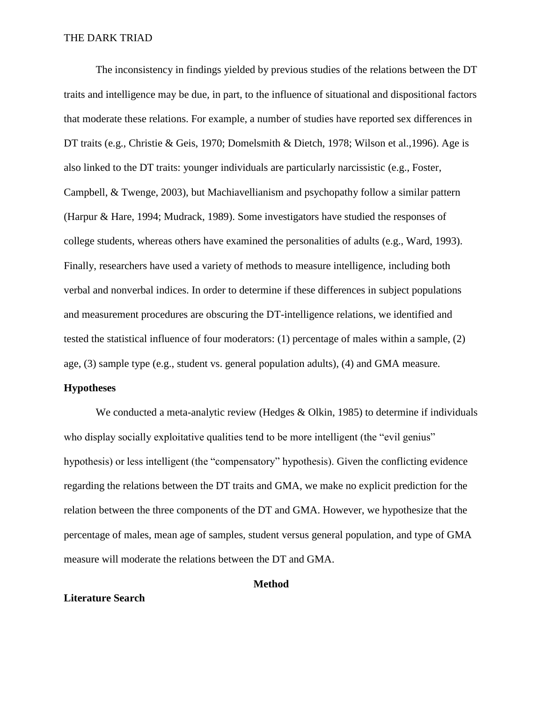The inconsistency in findings yielded by previous studies of the relations between the DT traits and intelligence may be due, in part, to the influence of situational and dispositional factors that moderate these relations. For example, a number of studies have reported sex differences in DT traits (e.g., Christie & Geis, 1970; Domelsmith & Dietch, 1978; Wilson et al.,1996). Age is also linked to the DT traits: younger individuals are particularly narcissistic (e.g., Foster, Campbell, & Twenge, 2003), but Machiavellianism and psychopathy follow a similar pattern (Harpur & Hare, 1994; Mudrack, 1989). Some investigators have studied the responses of college students, whereas others have examined the personalities of adults (e.g., Ward, 1993). Finally, researchers have used a variety of methods to measure intelligence, including both verbal and nonverbal indices. In order to determine if these differences in subject populations and measurement procedures are obscuring the DT-intelligence relations, we identified and tested the statistical influence of four moderators: (1) percentage of males within a sample, (2) age, (3) sample type (e.g., student vs. general population adults), (4) and GMA measure.

#### **Hypotheses**

We conducted a meta-analytic review (Hedges & Olkin, 1985) to determine if individuals who display socially exploitative qualities tend to be more intelligent (the "evil genius" hypothesis) or less intelligent (the "compensatory" hypothesis). Given the conflicting evidence regarding the relations between the DT traits and GMA, we make no explicit prediction for the relation between the three components of the DT and GMA. However, we hypothesize that the percentage of males, mean age of samples, student versus general population, and type of GMA measure will moderate the relations between the DT and GMA.

#### **Method**

#### **Literature Search**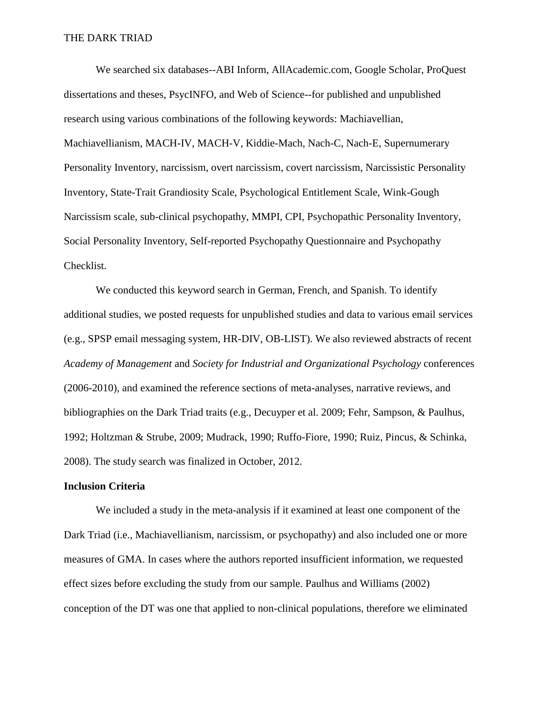We searched six databases--ABI Inform, AllAcademic.com, Google Scholar, ProQuest dissertations and theses, PsycINFO, and Web of Science--for published and unpublished research using various combinations of the following keywords: Machiavellian, Machiavellianism, MACH-IV, MACH-V, Kiddie-Mach, Nach-C, Nach-E, Supernumerary Personality Inventory, narcissism, overt narcissism, covert narcissism, Narcissistic Personality Inventory, State-Trait Grandiosity Scale, Psychological Entitlement Scale, Wink-Gough Narcissism scale, sub-clinical psychopathy, MMPI, CPI, Psychopathic Personality Inventory, Social Personality Inventory, Self-reported Psychopathy Questionnaire and Psychopathy Checklist.

We conducted this keyword search in German, French, and Spanish. To identify additional studies, we posted requests for unpublished studies and data to various email services (e.g., SPSP email messaging system, HR-DIV, OB-LIST). We also reviewed abstracts of recent *Academy of Management* and *Society for Industrial and Organizational Psychology* conferences (2006-2010), and examined the reference sections of meta-analyses, narrative reviews, and bibliographies on the Dark Triad traits (e.g., Decuyper et al. 2009; Fehr, Sampson, & Paulhus, 1992; Holtzman & Strube, 2009; Mudrack, 1990; Ruffo-Fiore, 1990; Ruiz, Pincus, & Schinka, 2008). The study search was finalized in October, 2012.

#### **Inclusion Criteria**

We included a study in the meta-analysis if it examined at least one component of the Dark Triad (i.e., Machiavellianism, narcissism, or psychopathy) and also included one or more measures of GMA. In cases where the authors reported insufficient information, we requested effect sizes before excluding the study from our sample. Paulhus and Williams (2002) conception of the DT was one that applied to non-clinical populations, therefore we eliminated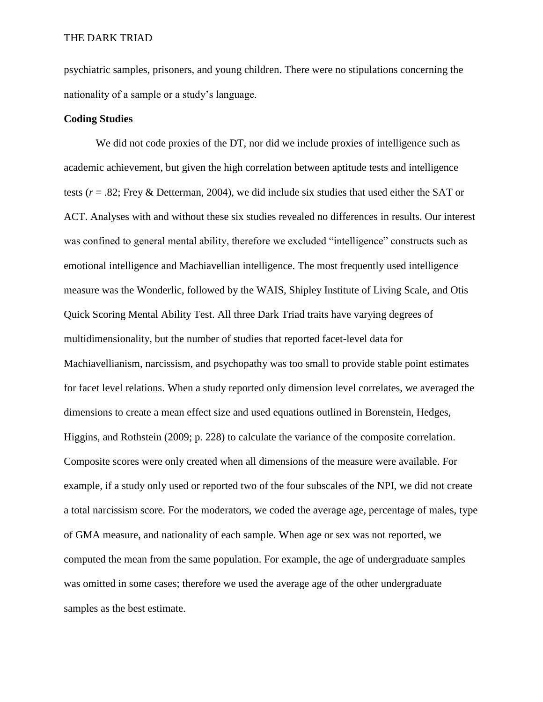psychiatric samples, prisoners, and young children. There were no stipulations concerning the nationality of a sample or a study's language.

# **Coding Studies**

We did not code proxies of the DT, nor did we include proxies of intelligence such as academic achievement, but given the high correlation between aptitude tests and intelligence tests (*r* = .82; Frey & Detterman, 2004), we did include six studies that used either the SAT or ACT. Analyses with and without these six studies revealed no differences in results. Our interest was confined to general mental ability, therefore we excluded "intelligence" constructs such as emotional intelligence and Machiavellian intelligence. The most frequently used intelligence measure was the Wonderlic, followed by the WAIS, Shipley Institute of Living Scale, and Otis Quick Scoring Mental Ability Test. All three Dark Triad traits have varying degrees of multidimensionality, but the number of studies that reported facet-level data for Machiavellianism, narcissism, and psychopathy was too small to provide stable point estimates for facet level relations. When a study reported only dimension level correlates, we averaged the dimensions to create a mean effect size and used equations outlined in Borenstein, Hedges, Higgins, and Rothstein (2009; p. 228) to calculate the variance of the composite correlation. Composite scores were only created when all dimensions of the measure were available. For example, if a study only used or reported two of the four subscales of the NPI, we did not create a total narcissism score. For the moderators, we coded the average age, percentage of males, type of GMA measure, and nationality of each sample. When age or sex was not reported, we computed the mean from the same population. For example, the age of undergraduate samples was omitted in some cases; therefore we used the average age of the other undergraduate samples as the best estimate.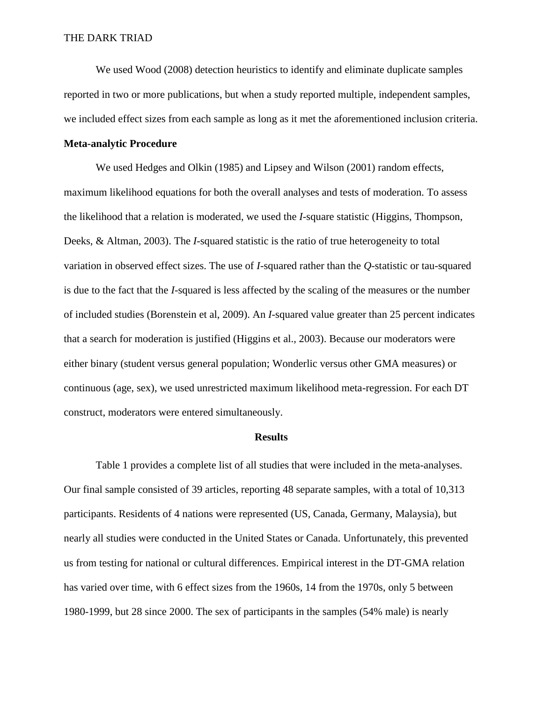We used Wood (2008) detection heuristics to identify and eliminate duplicate samples reported in two or more publications, but when a study reported multiple, independent samples, we included effect sizes from each sample as long as it met the aforementioned inclusion criteria.

#### **Meta-analytic Procedure**

We used Hedges and Olkin (1985) and Lipsey and Wilson (2001) random effects, maximum likelihood equations for both the overall analyses and tests of moderation. To assess the likelihood that a relation is moderated, we used the *I*-square statistic (Higgins, Thompson, Deeks, & Altman, 2003). The *I*-squared statistic is the ratio of true heterogeneity to total variation in observed effect sizes. The use of *I*-squared rather than the *Q*-statistic or tau-squared is due to the fact that the *I*-squared is less affected by the scaling of the measures or the number of included studies (Borenstein et al, 2009). An *I*-squared value greater than 25 percent indicates that a search for moderation is justified (Higgins et al., 2003). Because our moderators were either binary (student versus general population; Wonderlic versus other GMA measures) or continuous (age, sex), we used unrestricted maximum likelihood meta-regression. For each DT construct, moderators were entered simultaneously.

#### **Results**

Table 1 provides a complete list of all studies that were included in the meta-analyses. Our final sample consisted of 39 articles, reporting 48 separate samples, with a total of 10,313 participants. Residents of 4 nations were represented (US, Canada, Germany, Malaysia), but nearly all studies were conducted in the United States or Canada. Unfortunately, this prevented us from testing for national or cultural differences. Empirical interest in the DT-GMA relation has varied over time, with 6 effect sizes from the 1960s, 14 from the 1970s, only 5 between 1980-1999, but 28 since 2000. The sex of participants in the samples (54% male) is nearly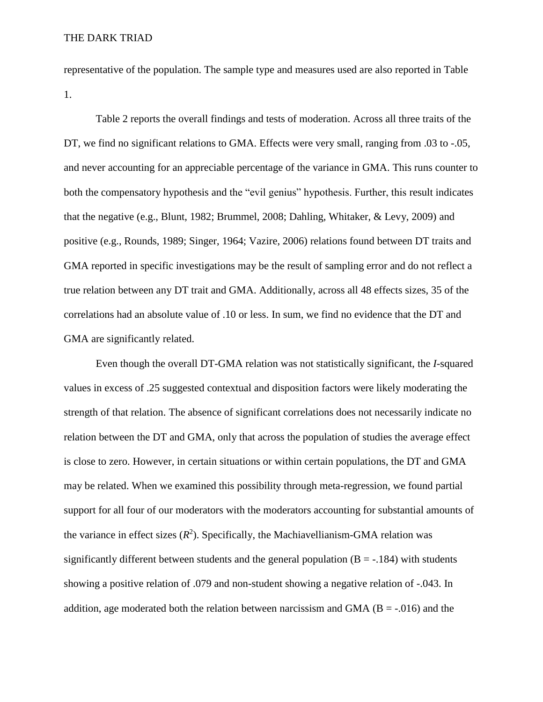representative of the population. The sample type and measures used are also reported in Table 1.

Table 2 reports the overall findings and tests of moderation. Across all three traits of the DT, we find no significant relations to GMA. Effects were very small, ranging from .03 to -.05, and never accounting for an appreciable percentage of the variance in GMA. This runs counter to both the compensatory hypothesis and the "evil genius" hypothesis. Further, this result indicates that the negative (e.g., Blunt, 1982; Brummel, 2008; Dahling, Whitaker, & Levy, 2009) and positive (e.g., Rounds, 1989; Singer, 1964; Vazire, 2006) relations found between DT traits and GMA reported in specific investigations may be the result of sampling error and do not reflect a true relation between any DT trait and GMA. Additionally, across all 48 effects sizes, 35 of the correlations had an absolute value of .10 or less. In sum, we find no evidence that the DT and GMA are significantly related.

Even though the overall DT-GMA relation was not statistically significant, the *I*-squared values in excess of .25 suggested contextual and disposition factors were likely moderating the strength of that relation. The absence of significant correlations does not necessarily indicate no relation between the DT and GMA, only that across the population of studies the average effect is close to zero. However, in certain situations or within certain populations, the DT and GMA may be related. When we examined this possibility through meta-regression, we found partial support for all four of our moderators with the moderators accounting for substantial amounts of the variance in effect sizes  $(R^2)$ . Specifically, the Machiavellianism-GMA relation was significantly different between students and the general population  $(B = -184)$  with students showing a positive relation of .079 and non-student showing a negative relation of -.043. In addition, age moderated both the relation between narcissism and GMA ( $B = -0.016$ ) and the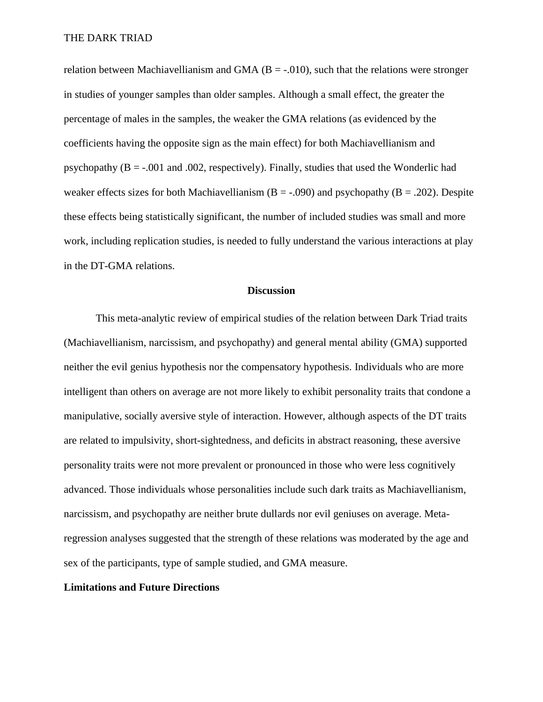relation between Machiavellianism and GMA ( $B = -0.010$ ), such that the relations were stronger in studies of younger samples than older samples. Although a small effect, the greater the percentage of males in the samples, the weaker the GMA relations (as evidenced by the coefficients having the opposite sign as the main effect) for both Machiavellianism and psychopathy  $(B = -0.001)$  and  $(0.002)$ , respectively). Finally, studies that used the Wonderlic had weaker effects sizes for both Machiavellianism ( $B = -0.090$ ) and psychopathy ( $B = 0.202$ ). Despite these effects being statistically significant, the number of included studies was small and more work, including replication studies, is needed to fully understand the various interactions at play in the DT-GMA relations.

#### **Discussion**

This meta-analytic review of empirical studies of the relation between Dark Triad traits (Machiavellianism, narcissism, and psychopathy) and general mental ability (GMA) supported neither the evil genius hypothesis nor the compensatory hypothesis. Individuals who are more intelligent than others on average are not more likely to exhibit personality traits that condone a manipulative, socially aversive style of interaction. However, although aspects of the DT traits are related to impulsivity, short-sightedness, and deficits in abstract reasoning, these aversive personality traits were not more prevalent or pronounced in those who were less cognitively advanced. Those individuals whose personalities include such dark traits as Machiavellianism, narcissism, and psychopathy are neither brute dullards nor evil geniuses on average. Metaregression analyses suggested that the strength of these relations was moderated by the age and sex of the participants, type of sample studied, and GMA measure.

#### **Limitations and Future Directions**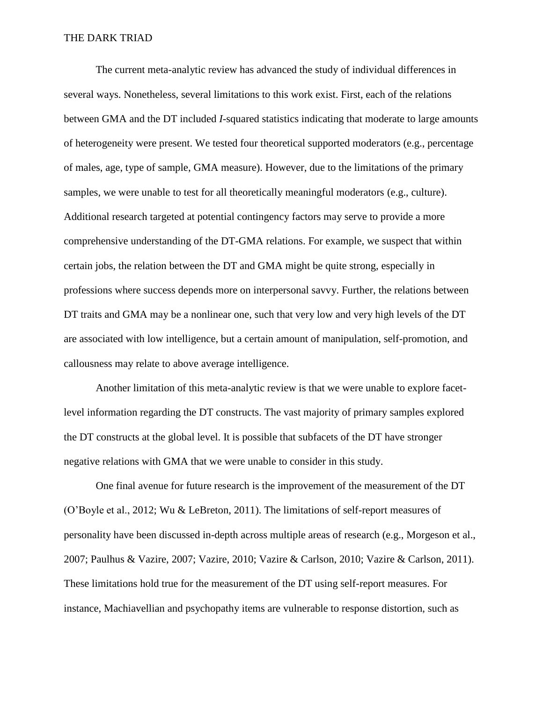The current meta-analytic review has advanced the study of individual differences in several ways. Nonetheless, several limitations to this work exist. First, each of the relations between GMA and the DT included *I*-squared statistics indicating that moderate to large amounts of heterogeneity were present. We tested four theoretical supported moderators (e.g., percentage of males, age, type of sample, GMA measure). However, due to the limitations of the primary samples, we were unable to test for all theoretically meaningful moderators (e.g., culture). Additional research targeted at potential contingency factors may serve to provide a more comprehensive understanding of the DT-GMA relations. For example, we suspect that within certain jobs, the relation between the DT and GMA might be quite strong, especially in professions where success depends more on interpersonal savvy. Further, the relations between DT traits and GMA may be a nonlinear one, such that very low and very high levels of the DT are associated with low intelligence, but a certain amount of manipulation, self-promotion, and callousness may relate to above average intelligence.

Another limitation of this meta-analytic review is that we were unable to explore facetlevel information regarding the DT constructs. The vast majority of primary samples explored the DT constructs at the global level. It is possible that subfacets of the DT have stronger negative relations with GMA that we were unable to consider in this study.

One final avenue for future research is the improvement of the measurement of the DT (O'Boyle et al., 2012; Wu & LeBreton, 2011). The limitations of self-report measures of personality have been discussed in-depth across multiple areas of research (e.g., Morgeson et al., 2007; Paulhus & Vazire, 2007; Vazire, 2010; Vazire & Carlson, 2010; Vazire & Carlson, 2011). These limitations hold true for the measurement of the DT using self-report measures. For instance, Machiavellian and psychopathy items are vulnerable to response distortion, such as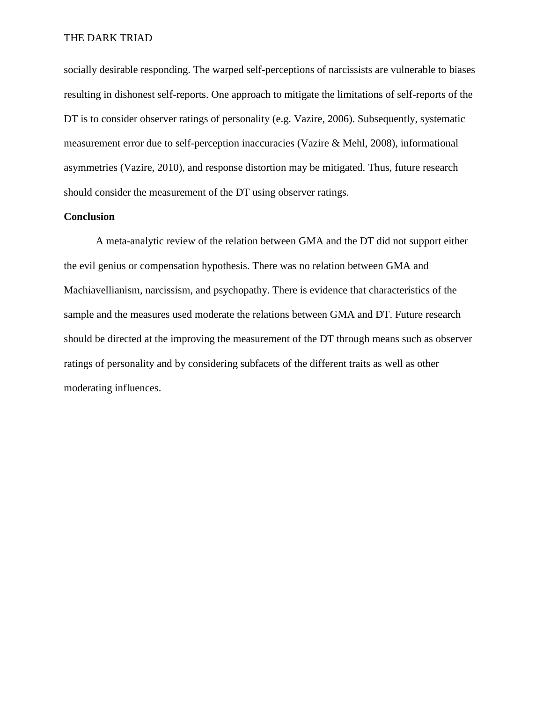socially desirable responding. The warped self-perceptions of narcissists are vulnerable to biases resulting in dishonest self-reports. One approach to mitigate the limitations of self-reports of the DT is to consider observer ratings of personality (e.g. Vazire, 2006). Subsequently, systematic measurement error due to self-perception inaccuracies (Vazire & Mehl, 2008), informational asymmetries (Vazire, 2010), and response distortion may be mitigated. Thus, future research should consider the measurement of the DT using observer ratings.

## **Conclusion**

A meta-analytic review of the relation between GMA and the DT did not support either the evil genius or compensation hypothesis. There was no relation between GMA and Machiavellianism, narcissism, and psychopathy. There is evidence that characteristics of the sample and the measures used moderate the relations between GMA and DT. Future research should be directed at the improving the measurement of the DT through means such as observer ratings of personality and by considering subfacets of the different traits as well as other moderating influences.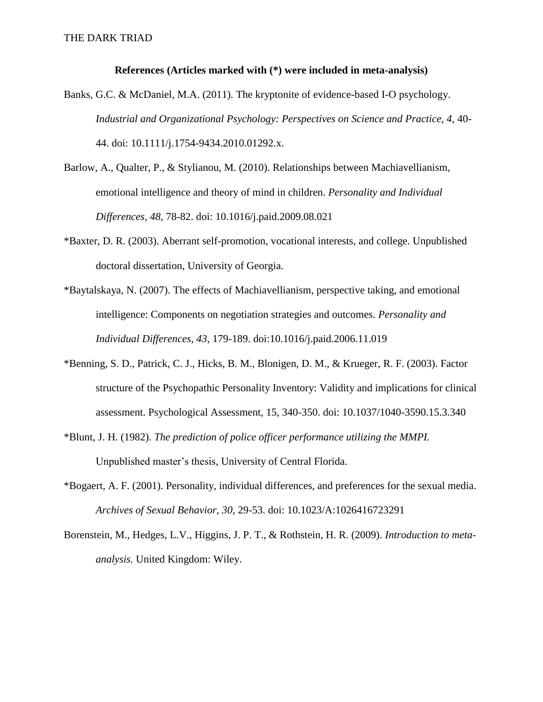#### **References (Articles marked with (\*) were included in meta-analysis)**

- Banks, G.C. & McDaniel, M.A. (2011)*.* The kryptonite of evidence-based I-O psychology. *Industrial and Organizational Psychology: Perspectives on Science and Practice, 4,* 40- 44. doi: 10.1111/j.1754-9434.2010.01292.x.
- Barlow, A., Qualter, P., & Stylianou, M. (2010). Relationships between Machiavellianism, emotional intelligence and theory of mind in children. *Personality and Individual Differences, 48,* 78-82. doi: 10.1016/j.paid.2009.08.021
- \*Baxter, D. R. (2003). Aberrant self-promotion, vocational interests, and college. Unpublished doctoral dissertation, University of Georgia.
- \*Baytalskaya, N. (2007). The effects of Machiavellianism, perspective taking, and emotional intelligence: Components on negotiation strategies and outcomes. *Personality and Individual Differences, 43*, 179-189. doi:10.1016/j.paid.2006.11.019
- \*Benning, S. D., Patrick, C. J., Hicks, B. M., Blonigen, D. M., & Krueger, R. F. (2003). Factor structure of the Psychopathic Personality Inventory: Validity and implications for clinical assessment. Psychological Assessment, 15, 340-350. doi: 10.1037/1040-3590.15.3.340
- \*Blunt, J. H. (1982). *The prediction of police officer performance utilizing the MMPI.*  Unpublished master's thesis, University of Central Florida.
- \*Bogaert, A. F. (2001). Personality, individual differences, and preferences for the sexual media. *Archives of Sexual Behavior, 30*, 29-53. doi: 10.1023/A:1026416723291
- Borenstein, M., Hedges, L.V., Higgins, J. P. T., & Rothstein, H. R. (2009). *Introduction to metaanalysis.* United Kingdom: Wiley.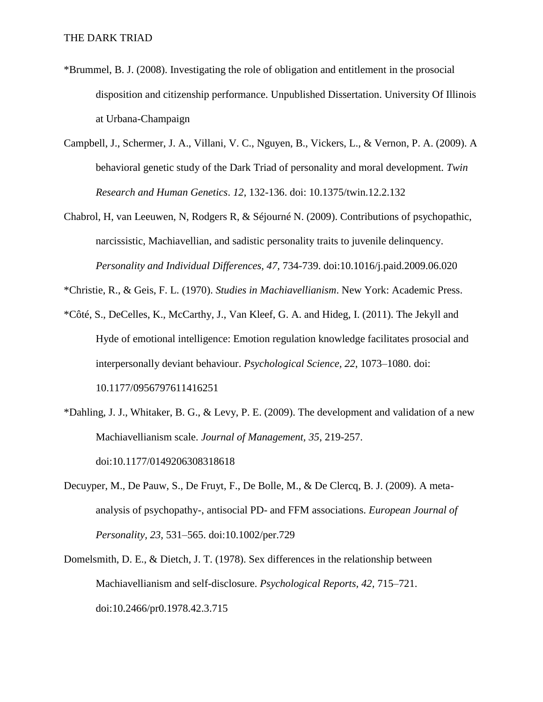- \*Brummel, B. J. (2008). Investigating the role of obligation and entitlement in the prosocial disposition and citizenship performance. Unpublished Dissertation. University Of Illinois at Urbana-Champaign
- Campbell, J., Schermer, J. A., Villani, V. C., Nguyen, B., Vickers, L., & Vernon, P. A. (2009). A behavioral genetic study of the Dark Triad of personality and moral development. *Twin Research and Human Genetics*. *12*, 132-136. doi: 10.1375/twin.12.2.132
- Chabrol, H, van Leeuwen, N, Rodgers R, & Séjourné N. (2009). Contributions of psychopathic, narcissistic, Machiavellian, and sadistic personality traits to juvenile delinquency. *Personality and Individual Differences, 47,* 734-739. doi:10.1016/j.paid.2009.06.020

\*Christie, R., & Geis, F. L. (1970). *Studies in Machiavellianism*. New York: Academic Press.

- \*Côté, S., DeCelles, K., McCarthy, J., Van Kleef, G. A. and Hideg, I. (2011). The Jekyll and Hyde of emotional intelligence: Emotion regulation knowledge facilitates prosocial and interpersonally deviant behaviour. *Psychological Science, 22*, 1073–1080. doi: 10.1177/0956797611416251
- \*Dahling, J. J., Whitaker, B. G., & Levy, P. E. (2009). The development and validation of a new Machiavellianism scale. *Journal of Management, 35*, 219-257. doi:10.1177/0149206308318618
- Decuyper, M., De Pauw, S., De Fruyt, F., De Bolle, M., & De Clercq, B. J. (2009). A metaanalysis of psychopathy-, antisocial PD- and FFM associations. *European Journal of Personality, 23,* 531–565. doi:10.1002/per.729
- Domelsmith, D. E., & Dietch, J. T. (1978). Sex differences in the relationship between Machiavellianism and self-disclosure. *Psychological Reports, 42,* 715–721. doi:10.2466/pr0.1978.42.3.715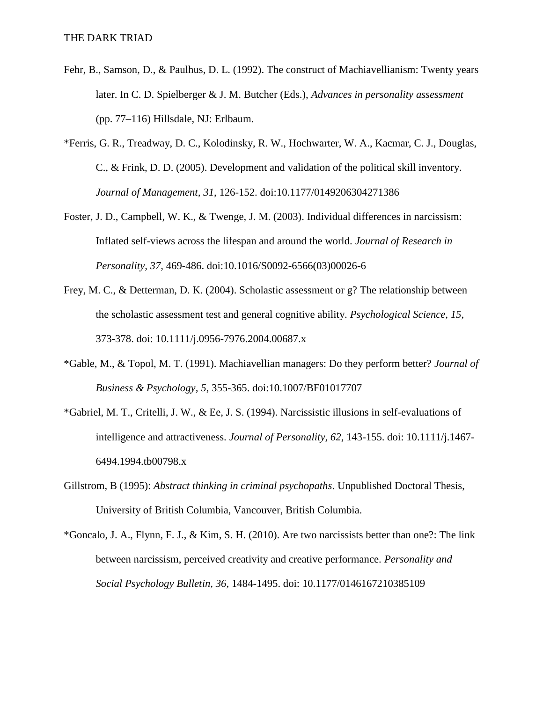- Fehr, B., Samson, D., & Paulhus, D. L. (1992). The construct of Machiavellianism: Twenty years later. In C. D. Spielberger & J. M. Butcher (Eds.), *Advances in personality assessment*  (pp. 77–116) Hillsdale, NJ: Erlbaum.
- \*Ferris, G. R., Treadway, D. C., Kolodinsky, R. W., Hochwarter, W. A., Kacmar, C. J., Douglas, C., & Frink, D. D. (2005). Development and validation of the political skill inventory. *Journal of Management, 31*, 126-152. doi:10.1177/0149206304271386
- Foster, J. D., Campbell, W. K., & Twenge, J. M. (2003). Individual differences in narcissism: Inflated self-views across the lifespan and around the world. *Journal of Research in Personality, 37,* 469-486. doi:10.1016/S0092-6566(03)00026-6
- Frey, M. C., & Detterman, D. K. (2004). Scholastic assessment or g? The relationship between the scholastic assessment test and general cognitive ability. *Psychological Science, 15*, 373-378. doi: 10.1111/j.0956-7976.2004.00687.x
- \*Gable, M., & Topol, M. T. (1991). Machiavellian managers: Do they perform better? *Journal of Business & Psychology, 5*, 355-365. doi:10.1007/BF01017707
- \*Gabriel, M. T., Critelli, J. W., & Ee, J. S. (1994). Narcissistic illusions in self-evaluations of intelligence and attractiveness. *Journal of Personality, 62*, 143-155. doi: 10.1111/j.1467- 6494.1994.tb00798.x
- Gillstrom, B (1995): *Abstract thinking in criminal psychopaths*. Unpublished Doctoral Thesis, University of British Columbia, Vancouver, British Columbia.
- \*Goncalo, J. A., Flynn, F. J., & Kim, S. H. (2010). Are two narcissists better than one?: The link between narcissism, perceived creativity and creative performance. *Personality and Social Psychology Bulletin, 36,* 1484-1495. doi: 10.1177/0146167210385109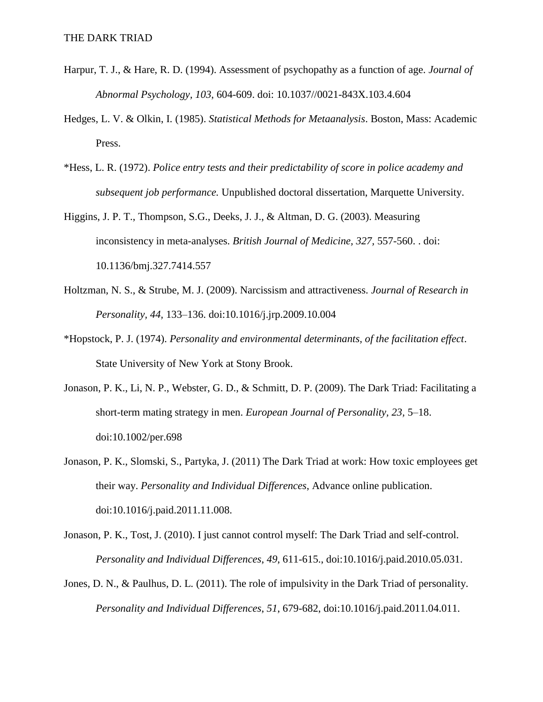- Harpur, T. J., & Hare, R. D. (1994). Assessment of psychopathy as a function of age. *Journal of Abnormal Psychology, 103*, 604-609. doi: 10.1037//0021-843X.103.4.604
- Hedges, L. V. & Olkin, I. (1985). *Statistical Methods for Metaanalysis*. Boston, Mass: Academic Press.
- \*Hess, L. R. (1972). *Police entry tests and their predictability of score in police academy and subsequent job performance.* Unpublished doctoral dissertation, Marquette University.
- Higgins, J. P. T., Thompson, S.G., Deeks, J. J., & Altman, D. G. (2003). Measuring inconsistency in meta-analyses. *British Journal of Medicine, 327,* 557-560. . doi: 10.1136/bmj.327.7414.557
- Holtzman, N. S., & Strube, M. J. (2009). Narcissism and attractiveness. *Journal of Research in Personality, 44,* 133–136. doi:10.1016/j.jrp.2009.10.004
- \*Hopstock, P. J. (1974). *Personality and environmental determinants, of the facilitation effect*. State University of New York at Stony Brook.
- Jonason, P. K., Li, N. P., Webster, G. D., & Schmitt, D. P. (2009). The Dark Triad: Facilitating a short-term mating strategy in men. *European Journal of Personality, 23,* 5–18. doi:10.1002/per.698
- Jonason, P. K., Slomski, S., Partyka, J. (2011) The Dark Triad at work: How toxic employees get their way. *Personality and Individual Differences*, Advance online publication. doi:10.1016/j.paid.2011.11.008.
- Jonason, P. K., Tost, J. (2010). I just cannot control myself: The Dark Triad and self-control. *Personality and Individual Differences*, *49*, 611-615., doi:10.1016/j.paid.2010.05.031.
- Jones, D. N., & Paulhus, D. L. (2011). The role of impulsivity in the Dark Triad of personality. *Personality and Individual Differences*, *51*, 679-682, doi:10.1016/j.paid.2011.04.011.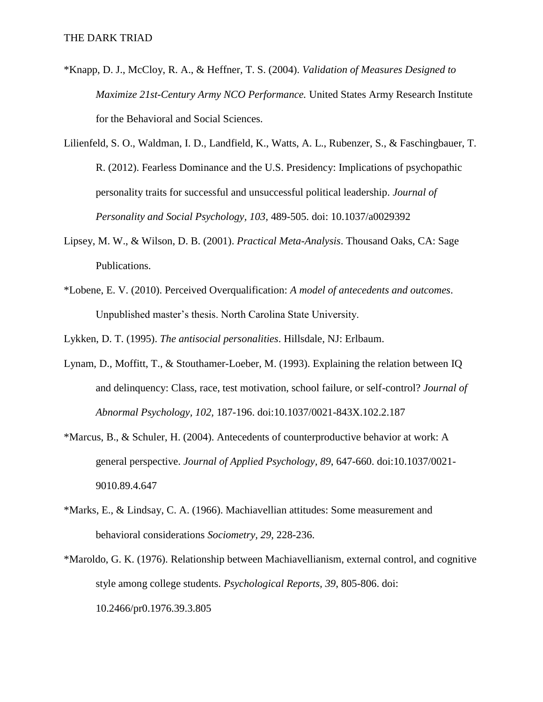- \*Knapp, D. J., McCloy, R. A., & Heffner, T. S. (2004). *Validation of Measures Designed to Maximize 21st-Century Army NCO Performance.* United States Army Research Institute for the Behavioral and Social Sciences.
- Lilienfeld, S. O., Waldman, I. D., Landfield, K., Watts, A. L., Rubenzer, S., & Faschingbauer, T. R. (2012). Fearless Dominance and the U.S. Presidency: Implications of psychopathic personality traits for successful and unsuccessful political leadership. *Journal of Personality and Social Psychology, 103,* 489-505. doi: 10.1037/a0029392
- Lipsey, M. W., & Wilson, D. B. (2001). *Practical Meta-Analysis*. Thousand Oaks, CA: Sage Publications.
- \*Lobene, E. V. (2010). Perceived Overqualification: *A model of antecedents and outcomes*. Unpublished master's thesis. North Carolina State University.

Lykken, D. T. (1995). *The antisocial personalities*. Hillsdale, NJ: Erlbaum.

- Lynam, D., Moffitt, T., & Stouthamer-Loeber, M. (1993). Explaining the relation between IQ and delinquency: Class, race, test motivation, school failure, or self-control? *Journal of Abnormal Psychology, 102,* 187-196. doi:10.1037/0021-843X.102.2.187
- \*Marcus, B., & Schuler, H. (2004). Antecedents of counterproductive behavior at work: A general perspective. *Journal of Applied Psychology, 89*, 647-660. doi:10.1037/0021- 9010.89.4.647
- \*Marks, E., & Lindsay, C. A. (1966). Machiavellian attitudes: Some measurement and behavioral considerations *Sociometry, 29*, 228-236.
- \*Maroldo, G. K. (1976). Relationship between Machiavellianism, external control, and cognitive style among college students. *Psychological Reports, 39*, 805-806. doi: 10.2466/pr0.1976.39.3.805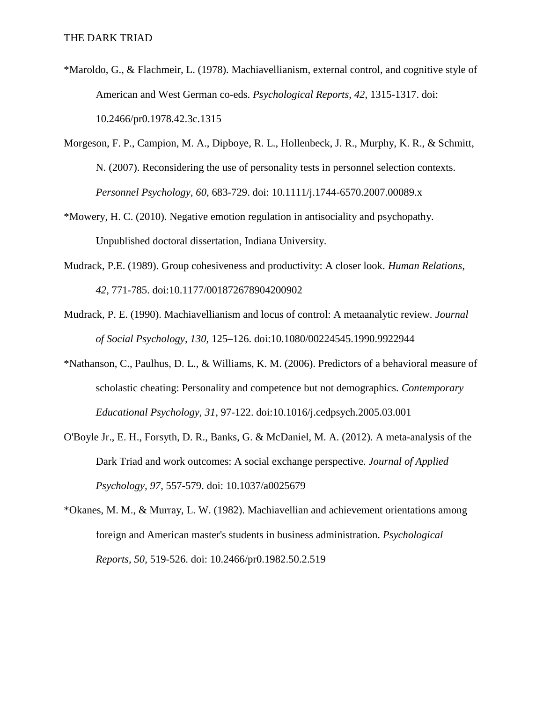- \*Maroldo, G., & Flachmeir, L. (1978). Machiavellianism, external control, and cognitive style of American and West German co-eds. *Psychological Reports, 42*, 1315-1317. doi: 10.2466/pr0.1978.42.3c.1315
- Morgeson, F. P., Campion, M. A., Dipboye, R. L., Hollenbeck, J. R., Murphy, K. R., & Schmitt, N. (2007). Reconsidering the use of personality tests in personnel selection contexts. *Personnel Psychology, 60*, 683-729. doi: 10.1111/j.1744-6570.2007.00089.x
- \*Mowery, H. C. (2010). Negative emotion regulation in antisociality and psychopathy. Unpublished doctoral dissertation, Indiana University.
- Mudrack, P.E. (1989). Group cohesiveness and productivity: A closer look. *Human Relations*, *42,* 771-785. doi:10.1177/001872678904200902
- Mudrack, P. E. (1990). Machiavellianism and locus of control: A metaanalytic review. *Journal of Social Psychology, 130,* 125–126. doi:10.1080/00224545.1990.9922944
- \*Nathanson, C., Paulhus, D. L., & Williams, K. M. (2006). Predictors of a behavioral measure of scholastic cheating: Personality and competence but not demographics. *Contemporary Educational Psychology, 31*, 97-122. doi:10.1016/j.cedpsych.2005.03.001
- O'Boyle Jr., E. H., Forsyth, D. R., Banks, G. & McDaniel, M. A. (2012). A meta-analysis of the Dark Triad and work outcomes: A social exchange perspective*. Journal of Applied Psychology, 97*, 557-579. doi: 10.1037/a0025679
- \*Okanes, M. M., & Murray, L. W. (1982). Machiavellian and achievement orientations among foreign and American master's students in business administration. *Psychological Reports, 50,* 519-526. doi: 10.2466/pr0.1982.50.2.519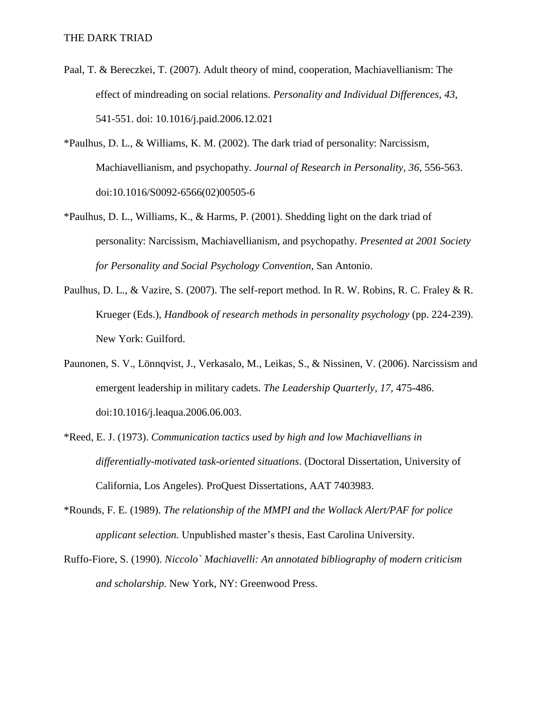- Paal, T. & Bereczkei, T. (2007). Adult theory of mind, cooperation, Machiavellianism: The effect of mindreading on social relations. *Personality and Individual Differences, 43,*  541-551. doi: 10.1016/j.paid.2006.12.021
- \*Paulhus, D. L., & Williams, K. M. (2002). The dark triad of personality: Narcissism, Machiavellianism, and psychopathy. *Journal of Research in Personality, 36*, 556-563. doi:10.1016/S0092-6566(02)00505-6
- \*Paulhus, D. L., Williams, K., & Harms, P. (2001). Shedding light on the dark triad of personality: Narcissism, Machiavellianism, and psychopathy. *Presented at 2001 Society for Personality and Social Psychology Convention*, San Antonio.
- Paulhus, D. L., & Vazire, S. (2007). The self-report method. In R. W. Robins, R. C. Fraley & R. Krueger (Eds.), *Handbook of research methods in personality psychology* (pp. 224-239). New York: Guilford.
- Paunonen, S. V., Lönnqvist, J., Verkasalo, M., Leikas, S., & Nissinen, V. (2006). Narcissism and emergent leadership in military cadets. *The Leadership Quarterly*, *17,* 475-486. doi:10.1016/j.leaqua.2006.06.003.
- \*Reed, E. J. (1973). *Communication tactics used by high and low Machiavellians in differentially-motivated task-oriented situations*. (Doctoral Dissertation, University of California, Los Angeles). ProQuest Dissertations, AAT 7403983.
- \*Rounds, F. E. (1989). *The relationship of the MMPI and the Wollack Alert/PAF for police applicant selection.* Unpublished master's thesis, East Carolina University.
- Ruffo-Fiore, S. (1990). *Niccolo` Machiavelli: An annotated bibliography of modern criticism and scholarship.* New York, NY: Greenwood Press.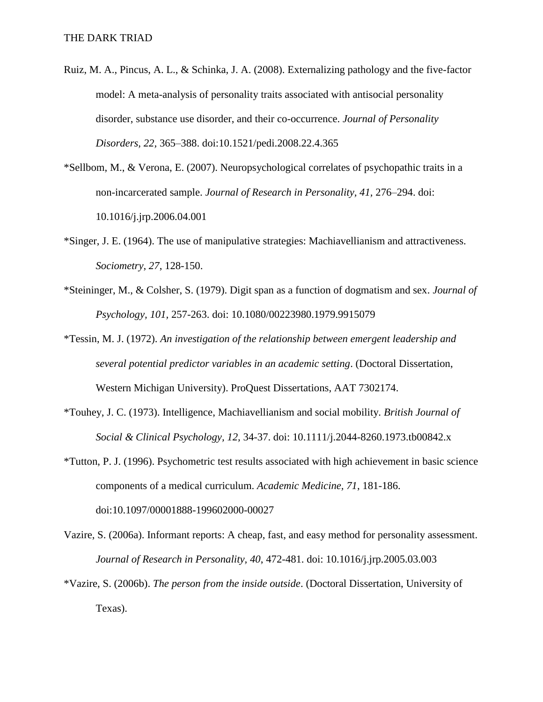- Ruiz, M. A., Pincus, A. L., & Schinka, J. A. (2008). Externalizing pathology and the five-factor model: A meta-analysis of personality traits associated with antisocial personality disorder, substance use disorder, and their co-occurrence. *Journal of Personality Disorders, 22,* 365–388. doi:10.1521/pedi.2008.22.4.365
- \*Sellbom, M., & Verona, E. (2007). Neuropsychological correlates of psychopathic traits in a non-incarcerated sample. *Journal of Research in Personality, 41,* 276–294. doi: 10.1016/j.jrp.2006.04.001
- \*Singer, J. E. (1964). The use of manipulative strategies: Machiavellianism and attractiveness. *Sociometry*, *27*, 128-150.
- \*Steininger, M., & Colsher, S. (1979). Digit span as a function of dogmatism and sex. *Journal of Psychology, 101,* 257-263. doi: 10.1080/00223980.1979.9915079
- \*Tessin, M. J. (1972). *An investigation of the relationship between emergent leadership and several potential predictor variables in an academic setting*. (Doctoral Dissertation, Western Michigan University). ProQuest Dissertations, AAT 7302174.
- \*Touhey, J. C. (1973). Intelligence, Machiavellianism and social mobility. *British Journal of Social & Clinical Psychology, 12,* 34-37. doi: 10.1111/j.2044-8260.1973.tb00842.x
- \*Tutton, P. J. (1996). Psychometric test results associated with high achievement in basic science components of a medical curriculum. *Academic Medicine, 71*, 181-186. doi:10.1097/00001888-199602000-00027
- Vazire, S. (2006a). Informant reports: A cheap, fast, and easy method for personality assessment. *Journal of Research in Personality, 40*, 472-481. doi: 10.1016/j.jrp.2005.03.003
- \*Vazire, S. (2006b). *The person from the inside outside*. (Doctoral Dissertation, University of Texas).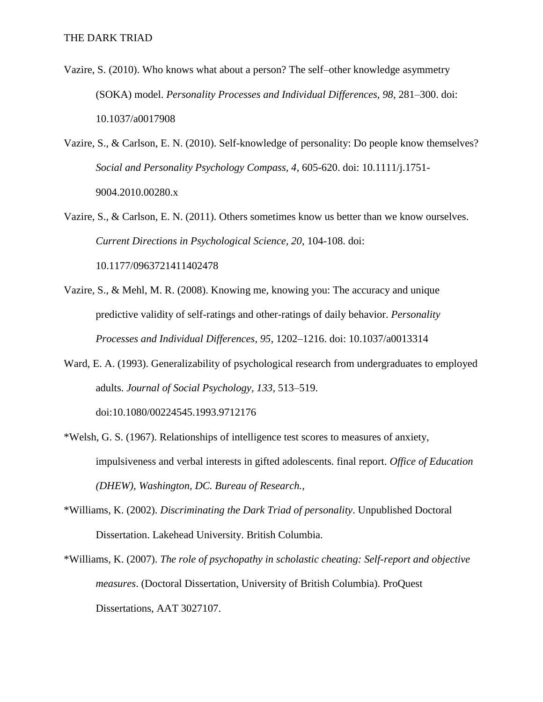- Vazire, S. (2010). Who knows what about a person? The self–other knowledge asymmetry (SOKA) model. *Personality Processes and Individual Differences, 98*, 281–300. doi: 10.1037/a0017908
- Vazire, S., & Carlson, E. N. (2010). Self-knowledge of personality: Do people know themselves? *Social and Personality Psychology Compass, 4*, 605-620. doi: 10.1111/j.1751- 9004.2010.00280.x
- Vazire, S., & Carlson, E. N. (2011). Others sometimes know us better than we know ourselves. *Current Directions in Psychological Science, 20*, 104-108. doi: 10.1177/0963721411402478
- Vazire, S., & Mehl, M. R. (2008). Knowing me, knowing you: The accuracy and unique predictive validity of self-ratings and other-ratings of daily behavior. *Personality Processes and Individual Differences, 95*, 1202–1216. doi: 10.1037/a0013314
- Ward, E. A. (1993). Generalizability of psychological research from undergraduates to employed adults. *Journal of Social Psychology, 133*, 513–519. doi:10.1080/00224545.1993.9712176
- \*Welsh, G. S. (1967). Relationships of intelligence test scores to measures of anxiety, impulsiveness and verbal interests in gifted adolescents. final report. *Office of Education (DHEW), Washington, DC. Bureau of Research.,*
- \*Williams, K. (2002). *Discriminating the Dark Triad of personality*. Unpublished Doctoral Dissertation. Lakehead University. British Columbia.
- \*Williams, K. (2007). *The role of psychopathy in scholastic cheating: Self-report and objective measures*. (Doctoral Dissertation, University of British Columbia). ProQuest Dissertations, AAT 3027107.